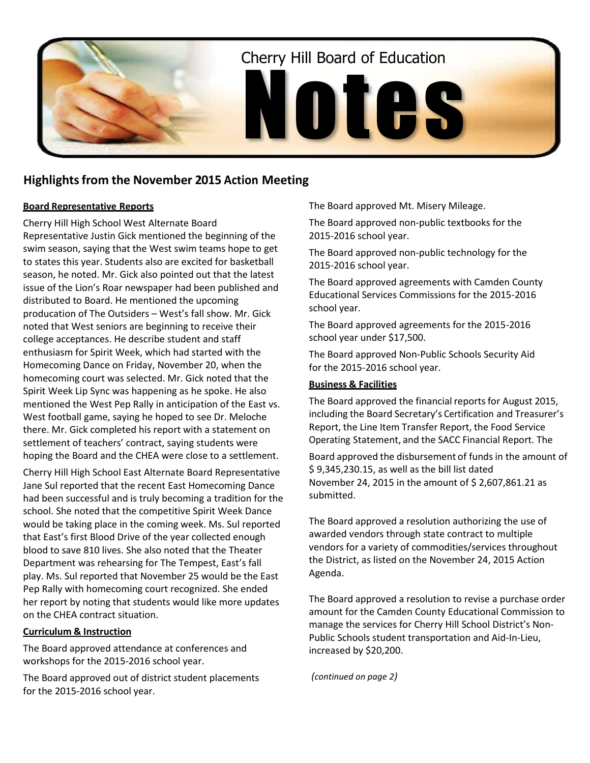

# **Highlightsfrom the November 2015 Action Meeting**

# **Board Representative Reports**

Cherry Hill High School West Alternate Board Representative Justin Gick mentioned the beginning of the swim season, saying that the West swim teams hope to get to states this year. Students also are excited for basketball season, he noted. Mr. Gick also pointed out that the latest issue of the Lion's Roar newspaper had been published and distributed to Board. He mentioned the upcoming producation of The Outsiders – West's fall show. Mr. Gick noted that West seniors are beginning to receive their college acceptances. He describe student and staff enthusiasm for Spirit Week, which had started with the Homecoming Dance on Friday, November 20, when the homecoming court was selected. Mr. Gick noted that the Spirit Week Lip Sync was happening as he spoke. He also mentioned the West Pep Rally in anticipation of the East vs. West football game, saying he hoped to see Dr. Meloche there. Mr. Gick completed his report with a statement on settlement of teachers' contract, saying students were hoping the Board and the CHEA were close to a settlement.

Cherry Hill High School East Alternate Board Representative Jane Sul reported that the recent East Homecoming Dance had been successful and is truly becoming a tradition for the school. She noted that the competitive Spirit Week Dance would be taking place in the coming week. Ms. Sul reported that East's first Blood Drive of the year collected enough blood to save 810 lives. She also noted that the Theater Department was rehearsing for The Tempest, East's fall play. Ms. Sul reported that November 25 would be the East Pep Rally with homecoming court recognized. She ended her report by noting that students would like more updates on the CHEA contract situation.

### **Curriculum & Instruction**

The Board approved attendance at conferences and workshops for the 2015-2016 school year.

The Board approved out of district student placements for the 2015-2016 school year.

The Board approved Mt. Misery Mileage.

The Board approved non-public textbooks for the 2015-2016 school year.

The Board approved non-public technology for the 2015-2016 school year.

The Board approved agreements with Camden County Educational Services Commissions for the 2015-2016 school year.

The Board approved agreements for the 2015-2016 school year under \$17,500.

The Board approved Non-Public Schools Security Aid for the 2015-2016 school year.

# **Business & Facilities**

The Board approved the financial reports for August 2015, including the Board Secretary's Certification and Treasurer's Report, the Line Item Transfer Report, the Food Service Operating Statement, and the SACC Financial Report. The

Board approved the disbursement of funds in the amount of \$ 9,345,230.15, as well as the bill list dated November 24, 2015 in the amount of \$ 2,607,861.21 as submitted.

The Board approved a resolution authorizing the use of awarded vendors through state contract to multiple vendors for a variety of commodities/services throughout the District, as listed on the November 24, 2015 Action Agenda.

The Board approved a resolution to revise a purchase order amount for the Camden County Educational Commission to manage the services for Cherry Hill School District's Non-Public Schools student transportation and Aid-In-Lieu, increased by \$20,200.

*(continued on page 2)*